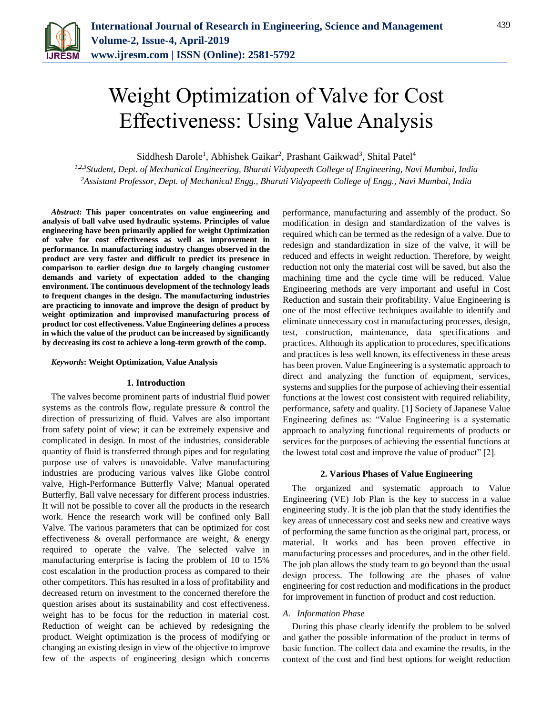

# Weight Optimization of Valve for Cost Effectiveness: Using Value Analysis

Siddhesh Darole<sup>1</sup>, Abhishek Gaikar<sup>2</sup>, Prashant Gaikwad<sup>3</sup>, Shital Patel<sup>4</sup>

*1,2,3Student, Dept. of Mechanical Engineering, Bharati Vidyapeeth College of Engineering, Navi Mumbai, India 2Assistant Professor, Dept. of Mechanical Engg., Bharati Vidyapeeth College of Engg., Navi Mumbai, India*

*Abstract***: This paper concentrates on value engineering and analysis of ball valve used hydraulic systems. Principles of value engineering have been primarily applied for weight Optimization of valve for cost effectiveness as well as improvement in performance. In manufacturing industry changes observed in the product are very faster and difficult to predict its presence in comparison to earlier design due to largely changing customer demands and variety of expectation added to the changing environment. The continuous development of the technology leads to frequent changes in the design. The manufacturing industries are practicing to innovate and improve the design of product by weight optimization and improvised manufacturing process of product for cost effectiveness. Value Engineering defines a process in which the value of the product can be increased by significantly by decreasing its cost to achieve a long-term growth of the comp.**

## *Keywords***: Weight Optimization, Value Analysis**

#### **1. Introduction**

The valves become prominent parts of industrial fluid power systems as the controls flow, regulate pressure & control the direction of pressurizing of fluid. Valves are also important from safety point of view; it can be extremely expensive and complicated in design. In most of the industries, considerable quantity of fluid is transferred through pipes and for regulating purpose use of valves is unavoidable. Valve manufacturing industries are producing various valves like Globe control valve, High-Performance Butterfly Valve; Manual operated Butterfly, Ball valve necessary for different process industries. It will not be possible to cover all the products in the research work. Hence the research work will be confined only Ball Valve. The various parameters that can be optimized for cost effectiveness & overall performance are weight, & energy required to operate the valve. The selected valve in manufacturing enterprise is facing the problem of 10 to 15% cost escalation in the production process as compared to their other competitors. This has resulted in a loss of profitability and decreased return on investment to the concerned therefore the question arises about its sustainability and cost effectiveness. weight has to be focus for the reduction in material cost. Reduction of weight can be achieved by redesigning the product. Weight optimization is the process of modifying or changing an existing design in view of the objective to improve few of the aspects of engineering design which concerns

performance, manufacturing and assembly of the product. So modification in design and standardization of the valves is required which can be termed as the redesign of a valve. Due to redesign and standardization in size of the valve, it will be reduced and effects in weight reduction. Therefore, by weight reduction not only the material cost will be saved, but also the machining time and the cycle time will be reduced. Value Engineering methods are very important and useful in Cost Reduction and sustain their profitability. Value Engineering is one of the most effective techniques available to identify and eliminate unnecessary cost in manufacturing processes, design, test, construction, maintenance, data specifications and practices. Although its application to procedures, specifications and practices is less well known, its effectiveness in these areas has been proven. Value Engineering is a systematic approach to direct and analyzing the function of equipment, services, systems and supplies for the purpose of achieving their essential functions at the lowest cost consistent with required reliability, performance, safety and quality. [1] Society of Japanese Value Engineering defines as: "Value Engineering is a systematic approach to analyzing functional requirements of products or services for the purposes of achieving the essential functions at the lowest total cost and improve the value of product" [2].

#### **2. Various Phases of Value Engineering**

The organized and systematic approach to Value Engineering (VE) Job Plan is the key to success in a value engineering study. It is the job plan that the study identifies the key areas of unnecessary cost and seeks new and creative ways of performing the same function as the original part, process, or material. It works and has been proven effective in manufacturing processes and procedures, and in the other field. The job plan allows the study team to go beyond than the usual design process. The following are the phases of value engineering for cost reduction and modifications in the product for improvement in function of product and cost reduction.

#### *A. Information Phase*

During this phase clearly identify the problem to be solved and gather the possible information of the product in terms of basic function. The collect data and examine the results, in the context of the cost and find best options for weight reduction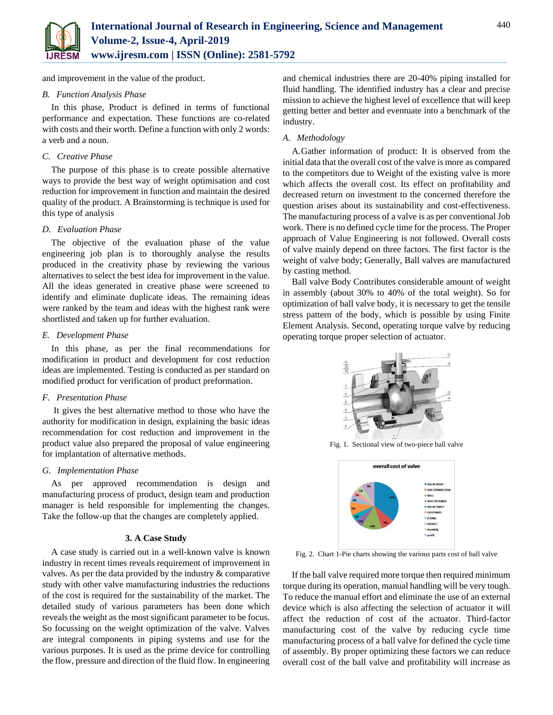

and improvement in the value of the product.

## *B. Function Analysis Phase*

In this phase, Product is defined in terms of functional performance and expectation. These functions are co-related with costs and their worth. Define a function with only 2 words: a verb and a noun.

## *C. Creative Phase*

The purpose of this phase is to create possible alternative ways to provide the best way of weight optimisation and cost reduction for improvement in function and maintain the desired quality of the product. A Brainstorming is technique is used for this type of analysis

## *D. Evaluation Phase*

The objective of the evaluation phase of the value engineering job plan is to thoroughly analyse the results produced in the creativity phase by reviewing the various alternatives to select the best idea for improvement in the value. All the ideas generated in creative phase were screened to identify and eliminate duplicate ideas. The remaining ideas were ranked by the team and ideas with the highest rank were shortlisted and taken up for further evaluation.

## *E. Development Phase*

In this phase, as per the final recommendations for modification in product and development for cost reduction ideas are implemented. Testing is conducted as per standard on modified product for verification of product preformation.

# *F. Presentation Phase*

It gives the best alternative method to those who have the authority for modification in design, explaining the basic ideas recommendation for cost reduction and improvement in the product value also prepared the proposal of value engineering for implantation of alternative methods.

# *G. Implementation Phase*

As per approved recommendation is design and manufacturing process of product, design team and production manager is held responsible for implementing the changes. Take the follow-up that the changes are completely applied.

## **3. A Case Study**

A case study is carried out in a well-known valve is known industry in recent times reveals requirement of improvement in valves. As per the data provided by the industry & comparative study with other valve manufacturing industries the reductions of the cost is required for the sustainability of the market. The detailed study of various parameters has been done which reveals the weight as the most significant parameter to be focus. So focussing on the weight optimization of the valve. Valves are integral components in piping systems and use for the various purposes. It is used as the prime device for controlling the flow, pressure and direction of the fluid flow. In engineering and chemical industries there are 20-40% piping installed for fluid handling. The identified industry has a clear and precise mission to achieve the highest level of excellence that will keep getting better and better and eventuate into a benchmark of the industry.

## *A. Methodology*

A.Gather information of product: It is observed from the initial data that the overall cost of the valve is more as compared to the competitors due to Weight of the existing valve is more which affects the overall cost. Its effect on profitability and decreased return on investment to the concerned therefore the question arises about its sustainability and cost-effectiveness. The manufacturing process of a valve is as per conventional Job work. There is no defined cycle time for the process. The Proper approach of Value Engineering is not followed. Overall costs of valve mainly depend on three factors. The first factor is the weight of valve body; Generally, Ball valves are manufactured by casting method.

Ball valve Body Contributes considerable amount of weight in assembly (about 30% to 40% of the total weight). So for optimization of ball valve body, it is necessary to get the tensile stress pattern of the body, which is possible by using Finite Element Analysis. Second, operating torque valve by reducing operating torque proper selection of actuator.



Fig. 1. Sectional view of two-piece ball valve



Fig. 2. Chart 1-Pie charts showing the various parts cost of ball valve

If the ball valve required more torque then required minimum torque during its operation, manual handling will be very tough. To reduce the manual effort and eliminate the use of an external device which is also affecting the selection of actuator it will affect the reduction of cost of the actuator. Third-factor manufacturing cost of the valve by reducing cycle time manufacturing process of a ball valve for defined the cycle time of assembly. By proper optimizing these factors we can reduce overall cost of the ball valve and profitability will increase as